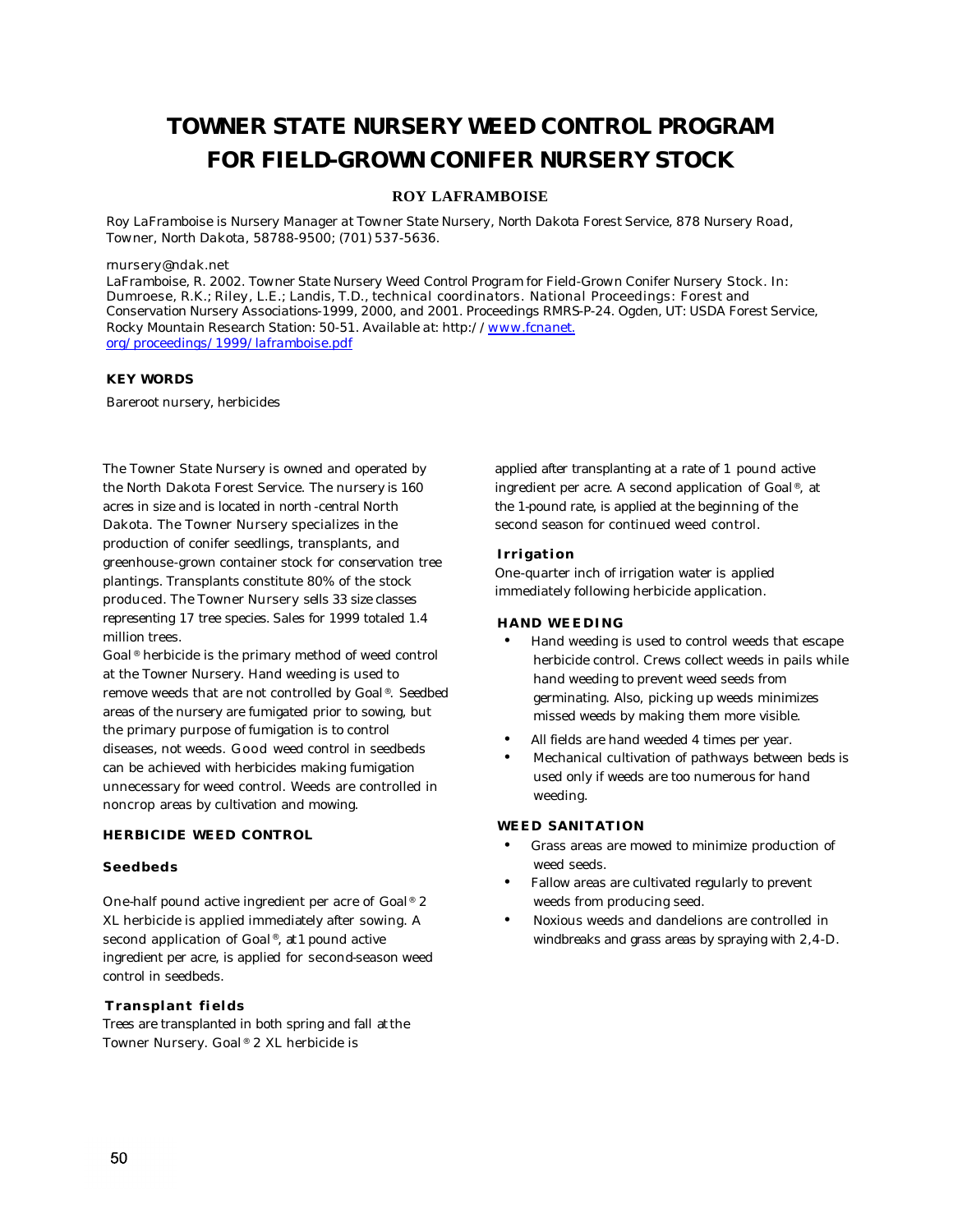# **TOWNER STATE NURSERY WEED CONTROL PROGRAM FOR FIELD-GROWN CONIFER NURSERY STOCK**

### **ROY LAFRAMBOISE**

*Roy LaFramboise is Nursery Manager at Towner State Nursery, North Dakota Forest Service, 878 Nursery Road, Towner, North Dakota, 58788-9500; (701) 537-5636.*

#### *rnursery@ndak.net*

*LaFramboise, R. 2002. Towner State Nursery Weed Control Program for Field-Grown Conifer Nursery Stock. In: Dumroese, R.K.; Riley, L.E.; Landis, T.D., technical coordinators. National Proceedings: Forest and Conservation Nursery Associations-1999, 2000, and 2001. Proceedings RMRS-P-24. Ogden, UT: USDA Forest Service, Rocky Mountain Research Station: 50-51. Available at: http://www.fcnanet. org/proceedings/1999/laframboise.pdf*

#### **KEY WORDS**

Bareroot nursery, herbicides

The Towner State Nursery is owned and operated by the North Dakota Forest Service. The nursery is 160 acres in size and is located in north-central North Dakota. The Towner Nursery specializes in the production of conifer seedlings, transplants, and greenhouse-grown container stock for conservation tree plantings. Transplants constitute 80% of the stock produced. The Towner Nursery sells 33 size classes representing 17 tree species. Sales for 1999 totaled 1.4 million trees.

Goal<sup>®</sup> herbicide is the primary method of weed control at the Towner Nursery. Hand weeding is used to remove weeds that are not controlled by Goal®. Seedbed areas of the nursery are fumigated prior to sowing, but the primary purpose of fumigation is to control diseases, not weeds. Good weed control in seedbeds can be achieved with herbicides making fumigation unnecessary for weed control. Weeds are controlled in noncrop areas by cultivation and mowing.

#### **HERBICIDE WEED CONTROL**

#### **Seedbeds**

One-half pound active ingredient per acre of Goal® 2 XL herbicide is applied immediately after sowing. A second application of Goal®, at 1 pound active ingredient per acre, is applied for second-season weed control in seedbeds.

#### **Transplant fields**

Trees are transplanted in both spring and fall at the Towner Nursery. Goal® 2 XL herbicide is

applied after transplanting at a rate of 1 pound active ingredient per acre. A second application of Goal®, at the 1-pound rate, is applied at the beginning of the second season for continued weed control.

#### **Irrigation**

One-quarter inch of irrigation water is applied immediately following herbicide application.

#### **HAND WEEDING**

- Hand weeding is used to control weeds that escape herbicide control. Crews collect weeds in pails while hand weeding to prevent weed seeds from germinating. Also, picking up weeds minimizes missed weeds by making them more visible.
- All fields are hand weeded 4 times per year.
- Mechanical cultivation of pathways between beds is used only if weeds are too numerous for hand weeding.

#### **WEED SANITATION**

- Grass areas are mowed to minimize production of weed seeds.
- Fallow areas are cultivated regularly to prevent weeds from producing seed.
- Noxious weeds and dandelions are controlled in windbreaks and grass areas by spraying with 2,4-D.